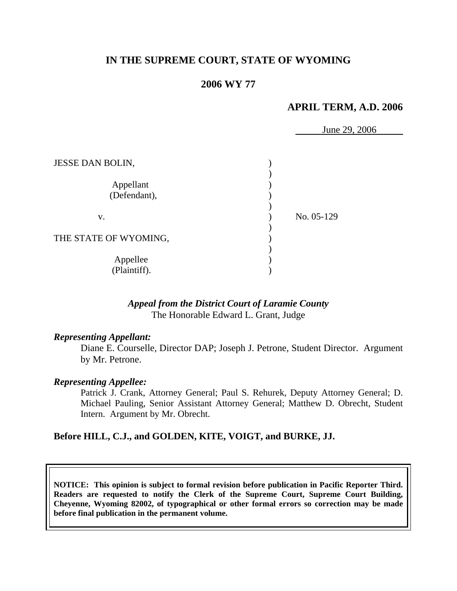## **IN THE SUPREME COURT, STATE OF WYOMING**

### **2006 WY 77**

### **APRIL TERM, A.D. 2006**

 June 29, 2006 JESSE DAN BOLIN, )  $)$ Appellant (1) (Defendant),  $)$  v. ) No. 05-129  $\left( \begin{array}{c} 0 \end{array} \right)$ THE STATE OF WYOMING,  $)$ Appellee (a) (Plaintiff). )

### *Appeal from the District Court of Laramie County* The Honorable Edward L. Grant, Judge

#### *Representing Appellant:*

 Diane E. Courselle, Director DAP; Joseph J. Petrone, Student Director. Argument by Mr. Petrone.

#### *Representing Appellee:*

Patrick J. Crank, Attorney General; Paul S. Rehurek, Deputy Attorney General; D. Michael Pauling, Senior Assistant Attorney General; Matthew D. Obrecht, Student Intern. Argument by Mr. Obrecht.

#### **Before HILL, C.J., and GOLDEN, KITE, VOIGT, and BURKE, JJ.**

**NOTICE: This opinion is subject to formal revision before publication in Pacific Reporter Third. Readers are requested to notify the Clerk of the Supreme Court, Supreme Court Building, Cheyenne, Wyoming 82002, of typographical or other formal errors so correction may be made before final publication in the permanent volume.**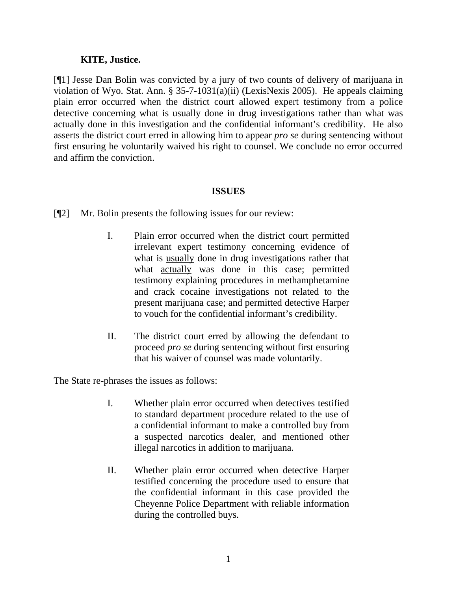### **KITE, Justice.**

[¶1] Jesse Dan Bolin was convicted by a jury of two counts of delivery of marijuana in violation of Wyo. Stat. Ann. § 35-7-1031(a)(ii) (LexisNexis 2005). He appeals claiming plain error occurred when the district court allowed expert testimony from a police detective concerning what is usually done in drug investigations rather than what was actually done in this investigation and the confidential informant's credibility. He also asserts the district court erred in allowing him to appear *pro se* during sentencing without first ensuring he voluntarily waived his right to counsel. We conclude no error occurred and affirm the conviction.

### **ISSUES**

- [¶2] Mr. Bolin presents the following issues for our review:
	- I. Plain error occurred when the district court permitted irrelevant expert testimony concerning evidence of what is usually done in drug investigations rather that what actually was done in this case; permitted testimony explaining procedures in methamphetamine and crack cocaine investigations not related to the present marijuana case; and permitted detective Harper to vouch for the confidential informant's credibility.
	- II. The district court erred by allowing the defendant to proceed *pro se* during sentencing without first ensuring that his waiver of counsel was made voluntarily.

The State re-phrases the issues as follows:

- I. Whether plain error occurred when detectives testified to standard department procedure related to the use of a confidential informant to make a controlled buy from a suspected narcotics dealer, and mentioned other illegal narcotics in addition to marijuana.
- II. Whether plain error occurred when detective Harper testified concerning the procedure used to ensure that the confidential informant in this case provided the Cheyenne Police Department with reliable information during the controlled buys.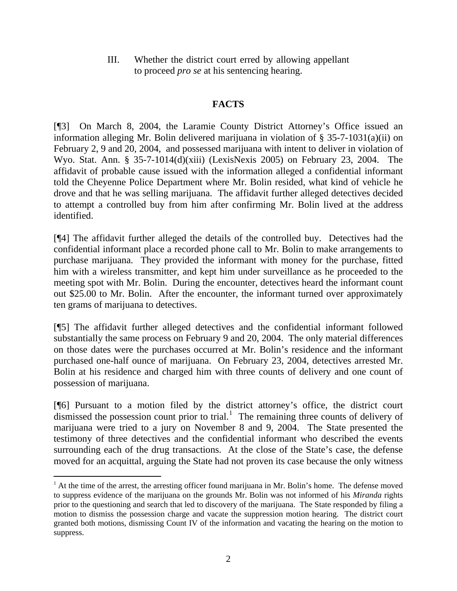III. Whether the district court erred by allowing appellant to proceed *pro se* at his sentencing hearing.

# **FACTS**

[¶3] On March 8, 2004, the Laramie County District Attorney's Office issued an information alleging Mr. Bolin delivered marijuana in violation of § 35-7-1031(a)(ii) on February 2, 9 and 20, 2004, and possessed marijuana with intent to deliver in violation of Wyo. Stat. Ann. § 35-7-1014(d)(xiii) (LexisNexis 2005) on February 23, 2004. The affidavit of probable cause issued with the information alleged a confidential informant told the Cheyenne Police Department where Mr. Bolin resided, what kind of vehicle he drove and that he was selling marijuana. The affidavit further alleged detectives decided to attempt a controlled buy from him after confirming Mr. Bolin lived at the address identified.

[¶4] The affidavit further alleged the details of the controlled buy. Detectives had the confidential informant place a recorded phone call to Mr. Bolin to make arrangements to purchase marijuana. They provided the informant with money for the purchase, fitted him with a wireless transmitter, and kept him under surveillance as he proceeded to the meeting spot with Mr. Bolin. During the encounter, detectives heard the informant count out \$25.00 to Mr. Bolin. After the encounter, the informant turned over approximately ten grams of marijuana to detectives.

[¶5] The affidavit further alleged detectives and the confidential informant followed substantially the same process on February 9 and 20, 2004. The only material differences on those dates were the purchases occurred at Mr. Bolin's residence and the informant purchased one-half ounce of marijuana. On February 23, 2004, detectives arrested Mr. Bolin at his residence and charged him with three counts of delivery and one count of possession of marijuana.

[¶6] Pursuant to a motion filed by the district attorney's office, the district court dismissed the possession count prior to trial.<sup>[1](#page-3-0)</sup> The remaining three counts of delivery of marijuana were tried to a jury on November 8 and 9, 2004. The State presented the testimony of three detectives and the confidential informant who described the events surrounding each of the drug transactions. At the close of the State's case, the defense moved for an acquittal, arguing the State had not proven its case because the only witness

<span id="page-3-0"></span>  $<sup>1</sup>$  At the time of the arrest, the arresting officer found marijuana in Mr. Bolin's home. The defense moved</sup> to suppress evidence of the marijuana on the grounds Mr. Bolin was not informed of his *Miranda* rights prior to the questioning and search that led to discovery of the marijuana. The State responded by filing a motion to dismiss the possession charge and vacate the suppression motion hearing. The district court granted both motions, dismissing Count IV of the information and vacating the hearing on the motion to suppress.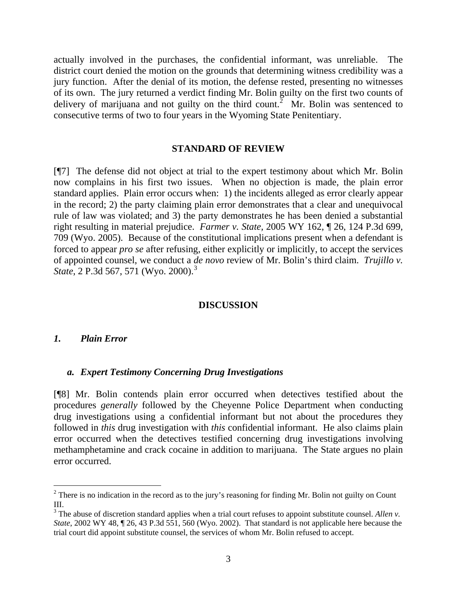actually involved in the purchases, the confidential informant, was unreliable. The district court denied the motion on the grounds that determining witness credibility was a jury function. After the denial of its motion, the defense rested, presenting no witnesses of its own. The jury returned a verdict finding Mr. Bolin guilty on the first two counts of delivery of marijuana and not guilty on the third count.<sup>[2](#page-4-0)</sup> Mr. Bolin was sentenced to consecutive terms of two to four years in the Wyoming State Penitentiary.

#### **STANDARD OF REVIEW**

[¶7] The defense did not object at trial to the expert testimony about which Mr. Bolin now complains in his first two issues. When no objection is made, the plain error standard applies. Plain error occurs when: 1) the incidents alleged as error clearly appear in the record; 2) the party claiming plain error demonstrates that a clear and unequivocal rule of law was violated; and 3) the party demonstrates he has been denied a substantial right resulting in material prejudice. *Farmer v. State,* 2005 WY 162, ¶ 26, 124 P.3d 699, 709 (Wyo. 2005). Because of the constitutional implications present when a defendant is forced to appear *pro se* after refusing, either explicitly or implicitly, to accept the services of appointed counsel, we conduct a *de novo* review of Mr. Bolin's third claim. *Trujillo v. State*, 2 P.[3](#page-4-1)d 567, 571 (Wyo. 2000).<sup>3</sup>

### **DISCUSSION**

#### *1. Plain Error*

#### *a. Expert Testimony Concerning Drug Investigations*

[¶8] Mr. Bolin contends plain error occurred when detectives testified about the procedures *generally* followed by the Cheyenne Police Department when conducting drug investigations using a confidential informant but not about the procedures they followed in *this* drug investigation with *this* confidential informant. He also claims plain error occurred when the detectives testified concerning drug investigations involving methamphetamine and crack cocaine in addition to marijuana. The State argues no plain error occurred.

<span id="page-4-0"></span><sup>&</sup>lt;sup>2</sup> There is no indication in the record as to the jury's reasoning for finding Mr. Bolin not guilty on Count III.

<span id="page-4-1"></span><sup>&</sup>lt;sup>3</sup> The abuse of discretion standard applies when a trial court refuses to appoint substitute counsel. Allen v. *State*, 2002 WY 48, ¶ 26, 43 P.3d 551, 560 (Wyo. 2002). That standard is not applicable here because the trial court did appoint substitute counsel, the services of whom Mr. Bolin refused to accept.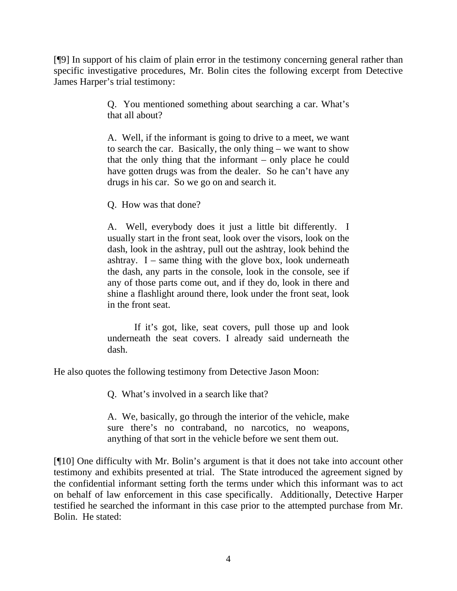[¶9] In support of his claim of plain error in the testimony concerning general rather than specific investigative procedures, Mr. Bolin cites the following excerpt from Detective James Harper's trial testimony:

> Q. You mentioned something about searching a car. What's that all about?

> A. Well, if the informant is going to drive to a meet, we want to search the car. Basically, the only thing – we want to show that the only thing that the informant – only place he could have gotten drugs was from the dealer. So he can't have any drugs in his car. So we go on and search it.

Q. How was that done?

A. Well, everybody does it just a little bit differently. I usually start in the front seat, look over the visors, look on the dash, look in the ashtray, pull out the ashtray, look behind the ashtray.  $I$  – same thing with the glove box, look underneath the dash, any parts in the console, look in the console, see if any of those parts come out, and if they do, look in there and shine a flashlight around there, look under the front seat, look in the front seat.

If it's got, like, seat covers, pull those up and look underneath the seat covers. I already said underneath the dash.

He also quotes the following testimony from Detective Jason Moon:

Q. What's involved in a search like that?

A. We, basically, go through the interior of the vehicle, make sure there's no contraband, no narcotics, no weapons, anything of that sort in the vehicle before we sent them out.

[¶10] One difficulty with Mr. Bolin's argument is that it does not take into account other testimony and exhibits presented at trial. The State introduced the agreement signed by the confidential informant setting forth the terms under which this informant was to act on behalf of law enforcement in this case specifically. Additionally, Detective Harper testified he searched the informant in this case prior to the attempted purchase from Mr. Bolin. He stated: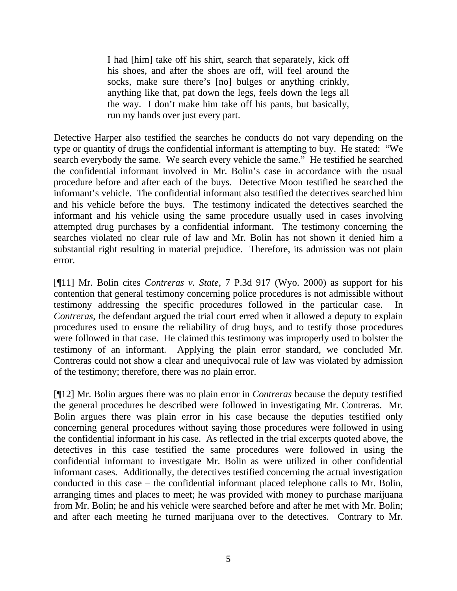I had [him] take off his shirt, search that separately, kick off his shoes, and after the shoes are off, will feel around the socks, make sure there's [no] bulges or anything crinkly, anything like that, pat down the legs, feels down the legs all the way. I don't make him take off his pants, but basically, run my hands over just every part.

Detective Harper also testified the searches he conducts do not vary depending on the type or quantity of drugs the confidential informant is attempting to buy. He stated: "We search everybody the same. We search every vehicle the same." He testified he searched the confidential informant involved in Mr. Bolin's case in accordance with the usual procedure before and after each of the buys. Detective Moon testified he searched the informant's vehicle. The confidential informant also testified the detectives searched him and his vehicle before the buys. The testimony indicated the detectives searched the informant and his vehicle using the same procedure usually used in cases involving attempted drug purchases by a confidential informant. The testimony concerning the searches violated no clear rule of law and Mr. Bolin has not shown it denied him a substantial right resulting in material prejudice. Therefore, its admission was not plain error.

[¶11] Mr. Bolin cites *Contreras v. State*, 7 P.3d 917 (Wyo. 2000) as support for his contention that general testimony concerning police procedures is not admissible without testimony addressing the specific procedures followed in the particular case. In *Contreras*, the defendant argued the trial court erred when it allowed a deputy to explain procedures used to ensure the reliability of drug buys, and to testify those procedures were followed in that case. He claimed this testimony was improperly used to bolster the testimony of an informant. Applying the plain error standard, we concluded Mr. Contreras could not show a clear and unequivocal rule of law was violated by admission of the testimony; therefore, there was no plain error.

[¶12] Mr. Bolin argues there was no plain error in *Contreras* because the deputy testified the general procedures he described were followed in investigating Mr. Contreras. Mr. Bolin argues there was plain error in his case because the deputies testified only concerning general procedures without saying those procedures were followed in using the confidential informant in his case. As reflected in the trial excerpts quoted above, the detectives in this case testified the same procedures were followed in using the confidential informant to investigate Mr. Bolin as were utilized in other confidential informant cases. Additionally, the detectives testified concerning the actual investigation conducted in this case – the confidential informant placed telephone calls to Mr. Bolin, arranging times and places to meet; he was provided with money to purchase marijuana from Mr. Bolin; he and his vehicle were searched before and after he met with Mr. Bolin; and after each meeting he turned marijuana over to the detectives. Contrary to Mr.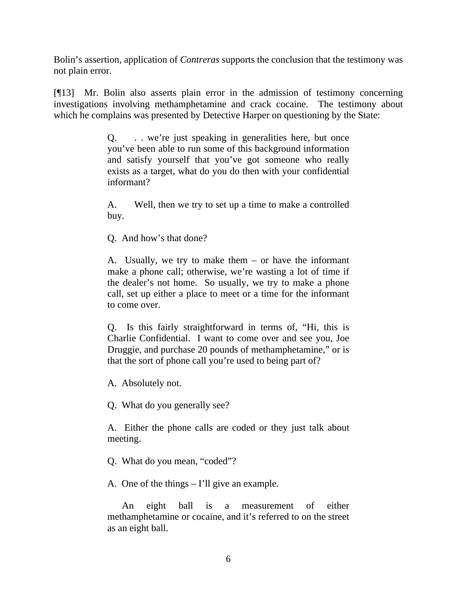Bolin's assertion, application of *Contreras* supports the conclusion that the testimony was not plain error.

[¶13] Mr. Bolin also asserts plain error in the admission of testimony concerning investigations involving methamphetamine and crack cocaine. The testimony about which he complains was presented by Detective Harper on questioning by the State:

> Q. . . we're just speaking in generalities here, but once you've been able to run some of this background information and satisfy yourself that you've got someone who really exists as a target, what do you do then with your confidential informant?

> A. Well, then we try to set up a time to make a controlled buy.

Q. And how's that done?

A. Usually, we try to make them – or have the informant make a phone call; otherwise, we're wasting a lot of time if the dealer's not home. So usually, we try to make a phone call, set up either a place to meet or a time for the informant to come over.

Q. Is this fairly straightforward in terms of, "Hi, this is Charlie Confidential. I want to come over and see you, Joe Druggie, and purchase 20 pounds of methamphetamine," or is that the sort of phone call you're used to being part of?

A. Absolutely not.

Q. What do you generally see?

A. Either the phone calls are coded or they just talk about meeting.

Q. What do you mean, "coded"?

A. One of the things – I'll give an example.

 An eight ball is a measurement of either methamphetamine or cocaine, and it's referred to on the street as an eight ball.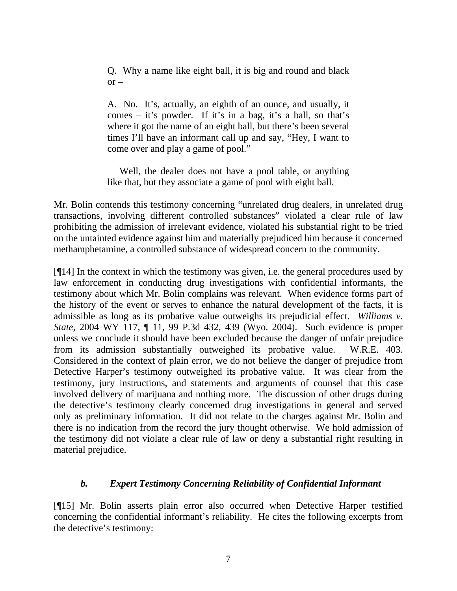Q. Why a name like eight ball, it is big and round and black  $or -$ 

A. No. It's, actually, an eighth of an ounce, and usually, it comes – it's powder. If it's in a bag, it's a ball, so that's where it got the name of an eight ball, but there's been several times I'll have an informant call up and say, "Hey, I want to come over and play a game of pool."

 Well, the dealer does not have a pool table, or anything like that, but they associate a game of pool with eight ball.

Mr. Bolin contends this testimony concerning "unrelated drug dealers, in unrelated drug transactions, involving different controlled substances" violated a clear rule of law prohibiting the admission of irrelevant evidence, violated his substantial right to be tried on the untainted evidence against him and materially prejudiced him because it concerned methamphetamine, a controlled substance of widespread concern to the community.

[¶14] In the context in which the testimony was given, i.e. the general procedures used by law enforcement in conducting drug investigations with confidential informants, the testimony about which Mr. Bolin complains was relevant. When evidence forms part of the history of the event or serves to enhance the natural development of the facts, it is admissible as long as its probative value outweighs its prejudicial effect. *Williams v. State*, 2004 WY 117, ¶ 11, 99 P.3d 432, 439 (Wyo. 2004). Such evidence is proper unless we conclude it should have been excluded because the danger of unfair prejudice from its admission substantially outweighed its probative value. W.R.E. 403. Considered in the context of plain error, we do not believe the danger of prejudice from Detective Harper's testimony outweighed its probative value. It was clear from the testimony, jury instructions, and statements and arguments of counsel that this case involved delivery of marijuana and nothing more. The discussion of other drugs during the detective's testimony clearly concerned drug investigations in general and served only as preliminary information. It did not relate to the charges against Mr. Bolin and there is no indication from the record the jury thought otherwise. We hold admission of the testimony did not violate a clear rule of law or deny a substantial right resulting in material prejudice.

## *b. Expert Testimony Concerning Reliability of Confidential Informant*

[¶15] Mr. Bolin asserts plain error also occurred when Detective Harper testified concerning the confidential informant's reliability. He cites the following excerpts from the detective's testimony: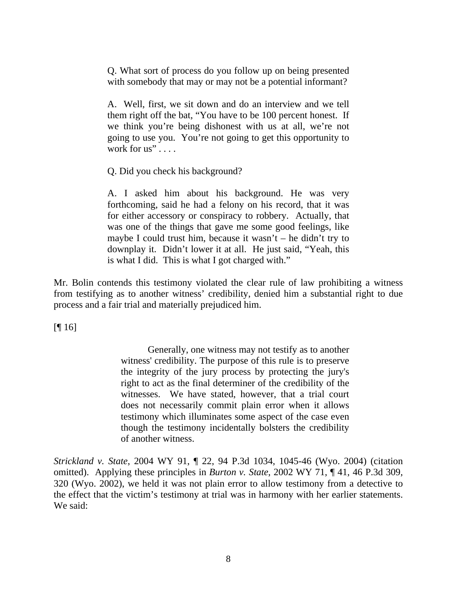Q. What sort of process do you follow up on being presented with somebody that may or may not be a potential informant?

A. Well, first, we sit down and do an interview and we tell them right off the bat, "You have to be 100 percent honest. If we think you're being dishonest with us at all, we're not going to use you. You're not going to get this opportunity to work for  $us$ "...

Q. Did you check his background?

A. I asked him about his background. He was very forthcoming, said he had a felony on his record, that it was for either accessory or conspiracy to robbery. Actually, that was one of the things that gave me some good feelings, like maybe I could trust him, because it wasn't – he didn't try to downplay it. Didn't lower it at all. He just said, "Yeah, this is what I did. This is what I got charged with."

Mr. Bolin contends this testimony violated the clear rule of law prohibiting a witness from testifying as to another witness' credibility, denied him a substantial right to due process and a fair trial and materially prejudiced him.

 $[$ [[  $]$  16]

Generally, one witness may not testify as to another witness' credibility. The purpose of this rule is to preserve the integrity of the jury process by protecting the jury's right to act as the final determiner of the credibility of the witnesses. We have stated, however, that a trial court does not necessarily commit plain error when it allows testimony which illuminates some aspect of the case even though the testimony incidentally bolsters the credibility of another witness.

*Strickland v. State*, 2004 WY 91, ¶ 22, 94 P.3d 1034, 1045-46 (Wyo. 2004) (citation omitted). Applying these principles in *Burton v. State*, 2002 WY 71, ¶ 41, 46 P.3d 309, 320 (Wyo. 2002), we held it was not plain error to allow testimony from a detective to the effect that the victim's testimony at trial was in harmony with her earlier statements. We said: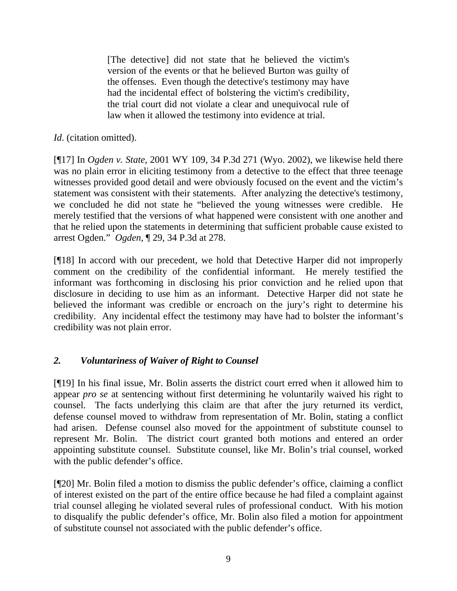[The detective] did not state that he believed the victim's version of the events or that he believed Burton was guilty of the offenses. Even though the detective's testimony may have had the incidental effect of bolstering the victim's credibility, the trial court did not violate a clear and unequivocal rule of law when it allowed the testimony into evidence at trial.

*Id*. (citation omitted).

[¶17] In *Ogden v. State*, 2001 WY 109, 34 P.3d 271 (Wyo. 2002), we likewise held there was no plain error in eliciting testimony from a detective to the effect that three teenage witnesses provided good detail and were obviously focused on the event and the victim's statement was consistent with their statements. After analyzing the detective's testimony, we concluded he did not state he "believed the young witnesses were credible. He merely testified that the versions of what happened were consistent with one another and that he relied upon the statements in determining that sufficient probable cause existed to arrest Ogden." *Ogden*, ¶ 29, 34 P.3d at 278.

[¶18] In accord with our precedent, we hold that Detective Harper did not improperly comment on the credibility of the confidential informant. He merely testified the informant was forthcoming in disclosing his prior conviction and he relied upon that disclosure in deciding to use him as an informant. Detective Harper did not state he believed the informant was credible or encroach on the jury's right to determine his credibility. Any incidental effect the testimony may have had to bolster the informant's credibility was not plain error.

# *2. Voluntariness of Waiver of Right to Counsel*

[¶19] In his final issue, Mr. Bolin asserts the district court erred when it allowed him to appear *pro se* at sentencing without first determining he voluntarily waived his right to counsel. The facts underlying this claim are that after the jury returned its verdict, defense counsel moved to withdraw from representation of Mr. Bolin, stating a conflict had arisen. Defense counsel also moved for the appointment of substitute counsel to represent Mr. Bolin. The district court granted both motions and entered an order appointing substitute counsel. Substitute counsel, like Mr. Bolin's trial counsel, worked with the public defender's office.

[¶20] Mr. Bolin filed a motion to dismiss the public defender's office, claiming a conflict of interest existed on the part of the entire office because he had filed a complaint against trial counsel alleging he violated several rules of professional conduct. With his motion to disqualify the public defender's office, Mr. Bolin also filed a motion for appointment of substitute counsel not associated with the public defender's office.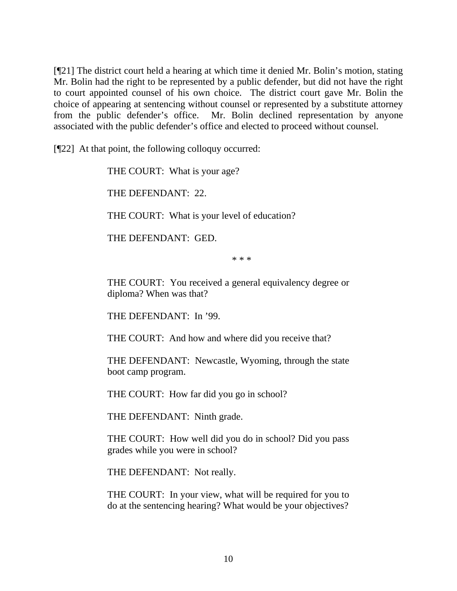[¶21] The district court held a hearing at which time it denied Mr. Bolin's motion, stating Mr. Bolin had the right to be represented by a public defender, but did not have the right to court appointed counsel of his own choice. The district court gave Mr. Bolin the choice of appearing at sentencing without counsel or represented by a substitute attorney from the public defender's office. Mr. Bolin declined representation by anyone associated with the public defender's office and elected to proceed without counsel.

[¶22] At that point, the following colloquy occurred:

THE COURT: What is your age?

THE DEFENDANT: 22.

THE COURT: What is your level of education?

THE DEFENDANT: GED.

\* \* \*

THE COURT: You received a general equivalency degree or diploma? When was that?

THE DEFENDANT: In '99.

THE COURT: And how and where did you receive that?

THE DEFENDANT: Newcastle, Wyoming, through the state boot camp program.

THE COURT: How far did you go in school?

THE DEFENDANT: Ninth grade.

THE COURT: How well did you do in school? Did you pass grades while you were in school?

THE DEFENDANT: Not really.

THE COURT: In your view, what will be required for you to do at the sentencing hearing? What would be your objectives?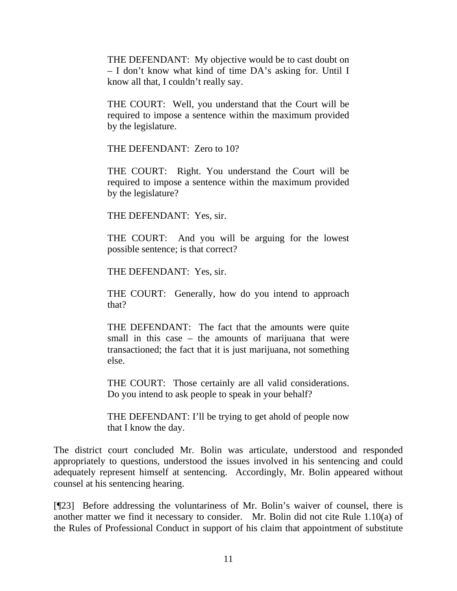THE DEFENDANT: My objective would be to cast doubt on – I don't know what kind of time DA's asking for. Until I know all that, I couldn't really say.

THE COURT: Well, you understand that the Court will be required to impose a sentence within the maximum provided by the legislature.

THE DEFENDANT: Zero to 10?

THE COURT: Right. You understand the Court will be required to impose a sentence within the maximum provided by the legislature?

THE DEFENDANT: Yes, sir.

THE COURT: And you will be arguing for the lowest possible sentence; is that correct?

THE DEFENDANT: Yes, sir.

THE COURT: Generally, how do you intend to approach that?

THE DEFENDANT: The fact that the amounts were quite small in this case – the amounts of marijuana that were transactioned; the fact that it is just marijuana, not something else.

THE COURT: Those certainly are all valid considerations. Do you intend to ask people to speak in your behalf?

THE DEFENDANT: I'll be trying to get ahold of people now that I know the day.

The district court concluded Mr. Bolin was articulate, understood and responded appropriately to questions, understood the issues involved in his sentencing and could adequately represent himself at sentencing. Accordingly, Mr. Bolin appeared without counsel at his sentencing hearing.

[¶23] Before addressing the voluntariness of Mr. Bolin's waiver of counsel, there is another matter we find it necessary to consider. Mr. Bolin did not cite Rule 1.10(a) of the Rules of Professional Conduct in support of his claim that appointment of substitute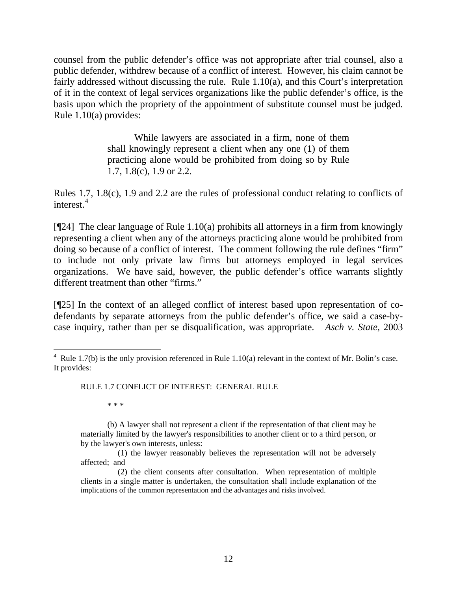counsel from the public defender's office was not appropriate after trial counsel, also a public defender, withdrew because of a conflict of interest. However, his claim cannot be fairly addressed without discussing the rule. Rule 1.10(a), and this Court's interpretation of it in the context of legal services organizations like the public defender's office, is the basis upon which the propriety of the appointment of substitute counsel must be judged. Rule 1.10(a) provides:

> While lawyers are associated in a firm, none of them shall knowingly represent a client when any one (1) of them practicing alone would be prohibited from doing so by Rule 1.7, 1.8(c), 1.9 or 2.2.

Rules 1.7, 1.8(c), 1.9 and 2.2 are the rules of professional conduct relating to conflicts of interest.<sup>[4](#page-13-0)</sup>

[¶24] The clear language of Rule 1.10(a) prohibits all attorneys in a firm from knowingly representing a client when any of the attorneys practicing alone would be prohibited from doing so because of a conflict of interest. The comment following the rule defines "firm" to include not only private law firms but attorneys employed in legal services organizations. We have said, however, the public defender's office warrants slightly different treatment than other "firms."

[¶25] In the context of an alleged conflict of interest based upon representation of codefendants by separate attorneys from the public defender's office, we said a case-bycase inquiry, rather than per se disqualification, was appropriate. *Asch v. State*, 2003

RULE 1.7 CONFLICT OF INTEREST: GENERAL RULE

\* \* \*

 (b) A lawyer shall not represent a client if the representation of that client may be materially limited by the lawyer's responsibilities to another client or to a third person, or by the lawyer's own interests, unless:

 (1) the lawyer reasonably believes the representation will not be adversely affected; and

<span id="page-13-0"></span>  $4$  Rule 1.7(b) is the only provision referenced in Rule 1.10(a) relevant in the context of Mr. Bolin's case. It provides:

 <sup>(2)</sup> the client consents after consultation. When representation of multiple clients in a single matter is undertaken, the consultation shall include explanation of the implications of the common representation and the advantages and risks involved.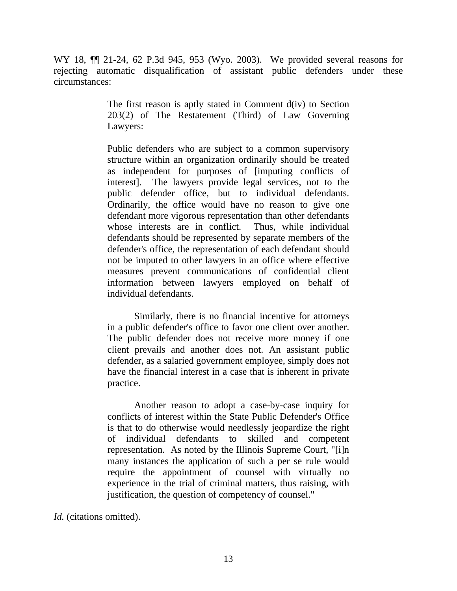WY 18, ¶¶ 21-24, 62 P.3d 945, 953 (Wyo. 2003). We provided several reasons for rejecting automatic disqualification of assistant public defenders under these circumstances:

> The first reason is aptly stated in Comment d(iv) to Section 203(2) of The Restatement (Third) of Law Governing Lawyers:

> Public defenders who are subject to a common supervisory structure within an organization ordinarily should be treated as independent for purposes of [imputing conflicts of interest]. The lawyers provide legal services, not to the public defender office, but to individual defendants. Ordinarily, the office would have no reason to give one defendant more vigorous representation than other defendants whose interests are in conflict. Thus, while individual defendants should be represented by separate members of the defender's office, the representation of each defendant should not be imputed to other lawyers in an office where effective measures prevent communications of confidential client information between lawyers employed on behalf of individual defendants.

> Similarly, there is no financial incentive for attorneys in a public defender's office to favor one client over another. The public defender does not receive more money if one client prevails and another does not. An assistant public defender, as a salaried government employee, simply does not have the financial interest in a case that is inherent in private practice.

> Another reason to adopt a case-by-case inquiry for conflicts of interest within the State Public Defender's Office is that to do otherwise would needlessly jeopardize the right of individual defendants to skilled and competent representation. As noted by the Illinois Supreme Court, "[i]n many instances the application of such a per se rule would require the appointment of counsel with virtually no experience in the trial of criminal matters, thus raising, with justification, the question of competency of counsel."

*Id.* (citations omitted).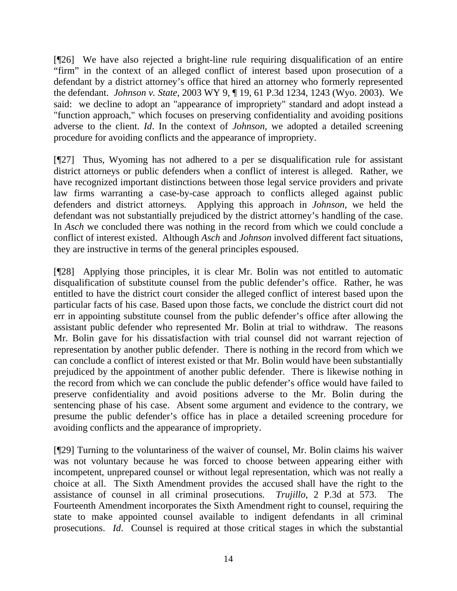[¶26] We have also rejected a bright-line rule requiring disqualification of an entire "firm" in the context of an alleged conflict of interest based upon prosecution of a defendant by a district attorney's office that hired an attorney who formerly represented the defendant. *Johnson v. State*, 2003 WY 9, ¶ 19, 61 P.3d 1234, 1243 (Wyo. 2003). We said: we decline to adopt an "appearance of impropriety" standard and adopt instead a "function approach," which focuses on preserving confidentiality and avoiding positions adverse to the client. *Id*. In the context of *Johnson*, we adopted a detailed screening procedure for avoiding conflicts and the appearance of impropriety.

[¶27] Thus, Wyoming has not adhered to a per se disqualification rule for assistant district attorneys or public defenders when a conflict of interest is alleged. Rather, we have recognized important distinctions between those legal service providers and private law firms warranting a case-by-case approach to conflicts alleged against public defenders and district attorneys. Applying this approach in *Johnson*, we held the defendant was not substantially prejudiced by the district attorney's handling of the case. In *Asch* we concluded there was nothing in the record from which we could conclude a conflict of interest existed. Although *Asch* and *Johnson* involved different fact situations, they are instructive in terms of the general principles espoused.

[¶28] Applying those principles, it is clear Mr. Bolin was not entitled to automatic disqualification of substitute counsel from the public defender's office. Rather, he was entitled to have the district court consider the alleged conflict of interest based upon the particular facts of his case. Based upon those facts, we conclude the district court did not err in appointing substitute counsel from the public defender's office after allowing the assistant public defender who represented Mr. Bolin at trial to withdraw. The reasons Mr. Bolin gave for his dissatisfaction with trial counsel did not warrant rejection of representation by another public defender. There is nothing in the record from which we can conclude a conflict of interest existed or that Mr. Bolin would have been substantially prejudiced by the appointment of another public defender. There is likewise nothing in the record from which we can conclude the public defender's office would have failed to preserve confidentiality and avoid positions adverse to the Mr. Bolin during the sentencing phase of his case. Absent some argument and evidence to the contrary, we presume the public defender's office has in place a detailed screening procedure for avoiding conflicts and the appearance of impropriety.

[¶29] Turning to the voluntariness of the waiver of counsel, Mr. Bolin claims his waiver was not voluntary because he was forced to choose between appearing either with incompetent, unprepared counsel or without legal representation, which was not really a choice at all. The Sixth Amendment provides the accused shall have the right to the assistance of counsel in all criminal prosecutions. *Trujillo*, 2 P.3d at 573. The Fourteenth Amendment incorporates the Sixth Amendment right to counsel, requiring the state to make appointed counsel available to indigent defendants in all criminal prosecutions. *Id*. Counsel is required at those critical stages in which the substantial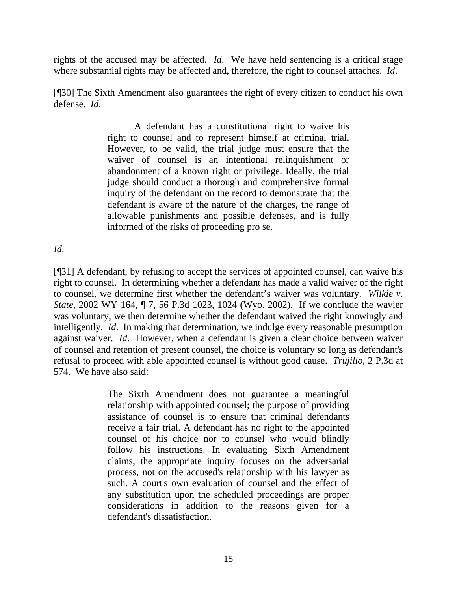rights of the accused may be affected. *Id*. We have held sentencing is a critical stage where substantial rights may be affected and, therefore, the right to counsel attaches. *Id*.

[¶30] The Sixth Amendment also guarantees the right of every citizen to conduct his own defense. *Id*.

> A defendant has a constitutional right to waive his right to counsel and to represent himself at criminal trial. However, to be valid, the trial judge must ensure that the waiver of counsel is an intentional relinquishment or abandonment of a known right or privilege. Ideally, the trial judge should conduct a thorough and comprehensive formal inquiry of the defendant on the record to demonstrate that the defendant is aware of the nature of the charges, the range of allowable punishments and possible defenses, and is fully informed of the risks of proceeding pro se.

*Id*.

[¶31] A defendant, by refusing to accept the services of appointed counsel, can waive his right to counsel. In determining whether a defendant has made a valid waiver of the right to counsel, we determine first whether the defendant's waiver was voluntary. *Wilkie v. State*, 2002 WY 164, ¶ 7, 56 P.3d 1023, 1024 (Wyo. 2002). If we conclude the wavier was voluntary, we then determine whether the defendant waived the right knowingly and intelligently. *Id*. In making that determination, we indulge every reasonable presumption against waiver. *Id*. However, when a defendant is given a clear choice between waiver of counsel and retention of present counsel, the choice is voluntary so long as defendant's refusal to proceed with able appointed counsel is without good cause. *Trujillo*, 2 P.3d at 574. We have also said:

> The Sixth Amendment does not guarantee a meaningful relationship with appointed counsel; the purpose of providing assistance of counsel is to ensure that criminal defendants receive a fair trial. A defendant has no right to the appointed counsel of his choice nor to counsel who would blindly follow his instructions. In evaluating Sixth Amendment claims, the appropriate inquiry focuses on the adversarial process, not on the accused's relationship with his lawyer as such. A court's own evaluation of counsel and the effect of any substitution upon the scheduled proceedings are proper considerations in addition to the reasons given for a defendant's dissatisfaction.